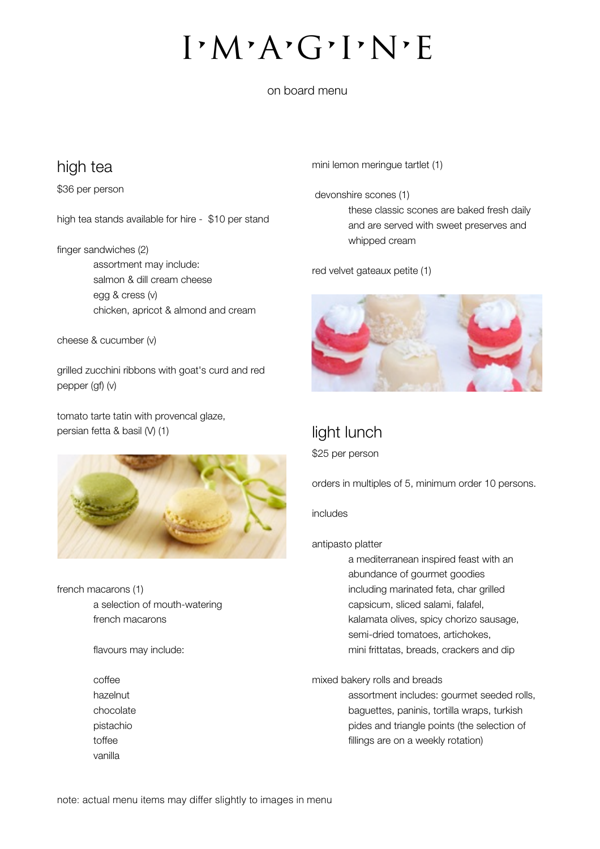i•m•a•g•i•n•e

on board menu

### high tea

\$36 per person

high tea stands available for hire - \$10 per stand

finger sandwiches (2) assortment may include: salmon & dill cream cheese egg & cress (v) chicken, apricot & almond and cream

cheese & cucumber (v)

grilled zucchini ribbons with goat's curd and red pepper (gf) (v)

tomato tarte tatin with provencal glaze, persian fetta & basil (V) (1)



french macarons (1) a selection of mouth-watering french macarons

flavours may include:

coffee hazelnut chocolate pistachio toffee vanilla

mini lemon meringue tartlet (1)

 devonshire scones (1) these classic scones are baked fresh daily and are served with sweet preserves and whipped cream

red velvet gateaux petite (1)



# light lunch

\$25 per person

orders in multiples of 5, minimum order 10 persons.

### includes

antipasto platter

a mediterranean inspired feast with an abundance of gourmet goodies including marinated feta, char grilled capsicum, sliced salami, falafel, kalamata olives, spicy chorizo sausage, semi-dried tomatoes, artichokes, mini frittatas, breads, crackers and dip

mixed bakery rolls and breads

assortment includes: gourmet seeded rolls, baguettes, paninis, tortilla wraps, turkish pides and triangle points (the selection of fillings are on a weekly rotation)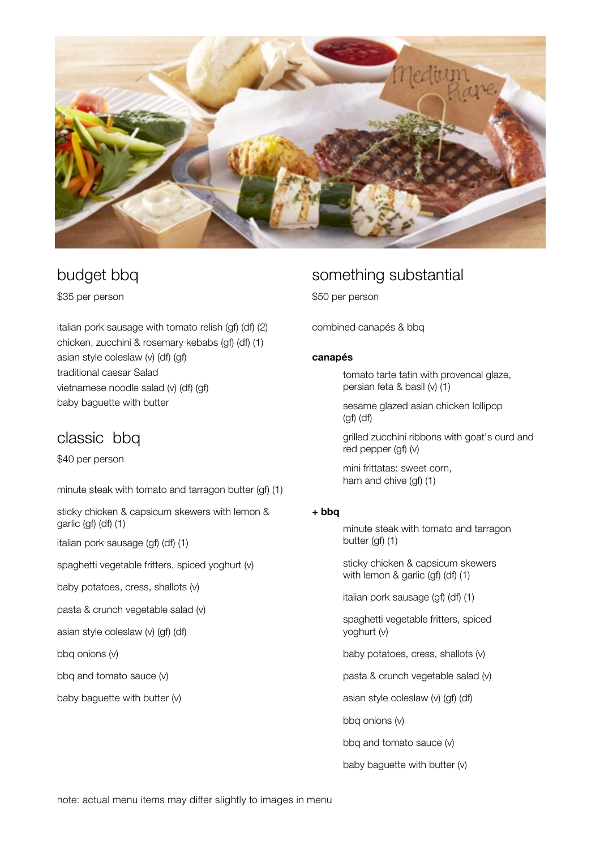

## budget bbq

\$35 per person

italian pork sausage with tomato relish (gf) (df) (2) chicken, zucchini & rosemary kebabs (gf) (df) (1) asian style coleslaw (v) (df) (gf) traditional caesar Salad vietnamese noodle salad (v) (df) (gf) baby baguette with butter

# classic bbq

\$40 per person

minute steak with tomato and tarragon butter (gf) (1)

sticky chicken & capsicum skewers with lemon & garlic (gf) (df) (1)

italian pork sausage (gf) (df) (1)

spaghetti vegetable fritters, spiced yoghurt (v)

baby potatoes, cress, shallots (v)

pasta & crunch vegetable salad (v)

asian style coleslaw (v) (gf) (df)

bbq onions (v)

bbq and tomato sauce (v)

baby baguette with butter (v)

## something substantial

\$50 per person

combined canapés & bbq

#### canapés

 tomato tarte tatin with provencal glaze, persian feta & basil (v) (1)

 sesame glazed asian chicken lollipop (gf) (df)

 grilled zucchini ribbons with goat's curd and red pepper (gf) (v)

 mini frittatas: sweet corn, ham and chive (gf) (1)

### + bbq

 minute steak with tomato and tarragon butter (gf) (1)

 sticky chicken & capsicum skewers with lemon & garlic (gf) (df) (1)

italian pork sausage (gf) (df) (1)

 spaghetti vegetable fritters, spiced yoghurt (v)

baby potatoes, cress, shallots (v)

pasta & crunch vegetable salad (v)

asian style coleslaw (v) (gf) (df)

bbq onions (v)

bbq and tomato sauce (v)

baby baguette with butter (v)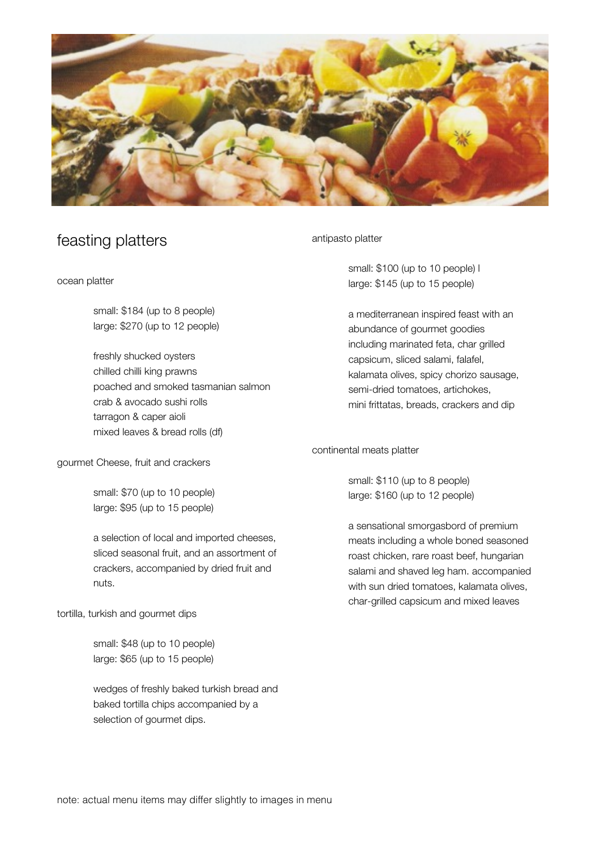

## feasting platters

ocean platter

 small: \$184 (up to 8 people) large: \$270 (up to 12 people)

freshly shucked oysters chilled chilli king prawns poached and smoked tasmanian salmon crab & avocado sushi rolls tarragon & caper aioli mixed leaves & bread rolls (df)

gourmet Cheese, fruit and crackers

small: \$70 (up to 10 people) large: \$95 (up to 15 people)

a selection of local and imported cheeses, sliced seasonal fruit, and an assortment of crackers, accompanied by dried fruit and nuts.

tortilla, turkish and gourmet dips

small: \$48 (up to 10 people) large: \$65 (up to 15 people)

wedges of freshly baked turkish bread and baked tortilla chips accompanied by a selection of gourmet dips.

antipasto platter

 small: \$100 (up to 10 people) l large: \$145 (up to 15 people)

a mediterranean inspired feast with an abundance of gourmet goodies including marinated feta, char grilled capsicum, sliced salami, falafel, kalamata olives, spicy chorizo sausage, semi-dried tomatoes, artichokes, mini frittatas, breads, crackers and dip

continental meats platter

small: \$110 (up to 8 people) large: \$160 (up to 12 people)

a sensational smorgasbord of premium meats including a whole boned seasoned roast chicken, rare roast beef, hungarian salami and shaved leg ham. accompanied with sun dried tomatoes, kalamata olives, char-grilled capsicum and mixed leaves